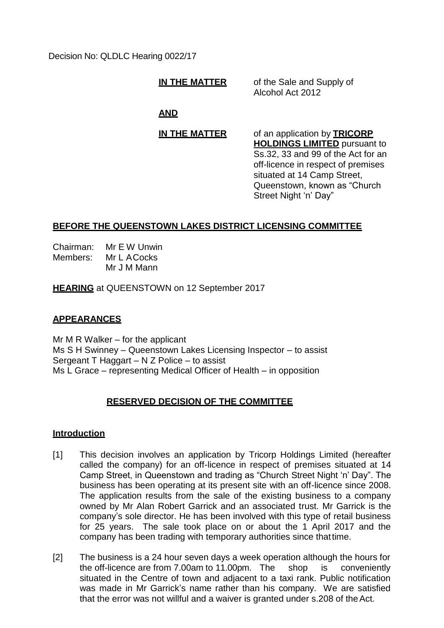Decision No: QLDLC Hearing 0022/17

**IN THE MATTER** of the Sale and Supply of Alcohol Act 2012

# **AND**

**IN THE MATTER** of an application by **TRICORP HOLDINGS LIMITED** pursuant to Ss.32, 33 and 99 of the Act for an off-licence in respect of premises situated at 14 Camp Street, Queenstown, known as "Church Street Night 'n' Day"

# **BEFORE THE QUEENSTOWN LAKES DISTRICT LICENSING COMMITTEE**

Chairman: Mr E W Unwin Members: Mr L ACocks Mr J M Mann

**HEARING** at QUEENSTOWN on 12 September 2017

# **APPEARANCES**

Mr  $M \, R$  Walker – for the applicant Ms S H Swinney – Queenstown Lakes Licensing Inspector – to assist Sergeant T Haggart – N Z Police – to assist Ms L Grace – representing Medical Officer of Health – in opposition

# **RESERVED DECISION OF THE COMMITTEE**

## **Introduction**

- [1] This decision involves an application by Tricorp Holdings Limited (hereafter called the company) for an off-licence in respect of premises situated at 14 Camp Street, in Queenstown and trading as "Church Street Night 'n' Day". The business has been operating at its present site with an off-licence since 2008. The application results from the sale of the existing business to a company owned by Mr Alan Robert Garrick and an associated trust. Mr Garrick is the company's sole director. He has been involved with this type of retail business for 25 years. The sale took place on or about the 1 April 2017 and the company has been trading with temporary authorities since thattime.
- [2] The business is a 24 hour seven days a week operation although the hours for the off-licence are from 7.00am to 11.00pm. The shop is conveniently situated in the Centre of town and adjacent to a taxi rank. Public notification was made in Mr Garrick's name rather than his company. We are satisfied that the error was not willful and a waiver is granted under s.208 of theAct.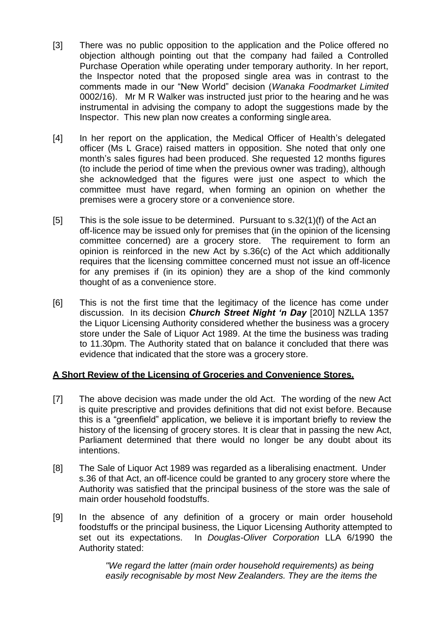- [3] There was no public opposition to the application and the Police offered no objection although pointing out that the company had failed a Controlled Purchase Operation while operating under temporary authority. In her report, the Inspector noted that the proposed single area was in contrast to the comments made in our "New World" decision (*Wanaka Foodmarket Limited*  0002/16). Mr M R Walker was instructed just prior to the hearing and he was instrumental in advising the company to adopt the suggestions made by the Inspector. This new plan now creates a conforming singlearea.
- [4] In her report on the application, the Medical Officer of Health's delegated officer (Ms L Grace) raised matters in opposition. She noted that only one month's sales figures had been produced. She requested 12 months figures (to include the period of time when the previous owner was trading), although she acknowledged that the figures were just one aspect to which the committee must have regard, when forming an opinion on whether the premises were a grocery store or a convenience store.
- [5] This is the sole issue to be determined. Pursuant to s.32(1)(f) of the Act an off-licence may be issued only for premises that (in the opinion of the licensing committee concerned) are a grocery store. The requirement to form an opinion is reinforced in the new Act by s.36(c) of the Act which additionally requires that the licensing committee concerned must not issue an off-licence for any premises if (in its opinion) they are a shop of the kind commonly thought of as a convenience store.
- [6] This is not the first time that the legitimacy of the licence has come under discussion. In its decision *Church Street Night 'n Day* [2010] NZLLA 1357 the Liquor Licensing Authority considered whether the business was a grocery store under the Sale of Liquor Act 1989. At the time the business was trading to 11.30pm. The Authority stated that on balance it concluded that there was evidence that indicated that the store was a grocery store.

### **A Short Review of the Licensing of Groceries and Convenience Stores.**

- [7] The above decision was made under the old Act. The wording of the new Act is quite prescriptive and provides definitions that did not exist before. Because this is a "greenfield" application, we believe it is important briefly to review the history of the licensing of grocery stores. It is clear that in passing the new Act, Parliament determined that there would no longer be any doubt about its intentions.
- [8] The Sale of Liquor Act 1989 was regarded as a liberalising enactment. Under s.36 of that Act, an off-licence could be granted to any grocery store where the Authority was satisfied that the principal business of the store was the sale of main order household foodstuffs.
- [9] In the absence of any definition of a grocery or main order household foodstuffs or the principal business, the Liquor Licensing Authority attempted to set out its expectations. In *Douglas-Oliver Corporation* LLA 6/1990 the Authority stated:

*"We regard the latter (main order household requirements) as being easily recognisable by most New Zealanders. They are the items the*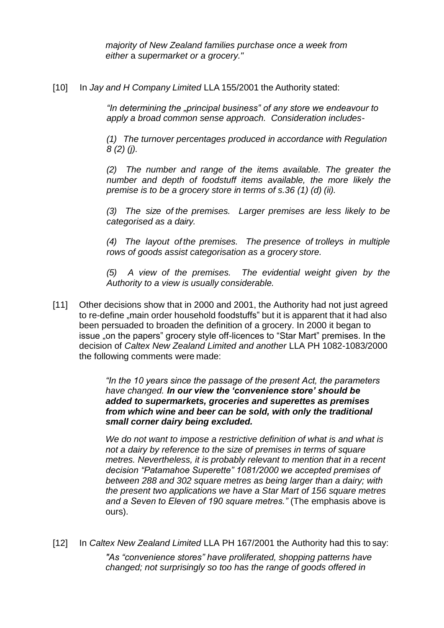*majority of New Zealand families purchase once a week from either* a *supermarket or a grocery."*

[10] In *Jay and H Company Limited* LLA 155/2001 the Authority stated:

*"In determining the "principal business" of any store we endeavour to apply a broad common sense approach. Consideration includes-*

*(1) The turnover percentages produced in accordance with Regulation 8 (2) (j).*

*(2) The number and range of the items available. The greater the number and depth of foodstuff items available, the more likely the premise is to be a grocery store in terms of s.36 (1) (d) (ii).*

*(3) The size of the premises. Larger premises are less likely to be categorised as a dairy.*

*(4) The layout of the premises. The presence of trolleys in multiple rows of goods assist categorisation as a grocery store.*

*(5) A view of the premises. The evidential weight given by the Authority to a view is usually considerable.*

[11] Other decisions show that in 2000 and 2001, the Authority had not just agreed to re-define "main order household foodstuffs" but it is apparent that it had also been persuaded to broaden the definition of a grocery. In 2000 it began to issue "on the papers" grocery style off-licences to "Star Mart" premises. In the decision of *Caltex New Zealand Limited and another* LLA PH 1082-1083/2000 the following comments were made:

> *"In the 10 years since the passage of the present Act, the parameters have changed. In our view the 'convenience store' should be added to supermarkets, groceries and superettes as premises from which wine and beer can be sold, with only the traditional small corner dairy being excluded.*

*We do not want to impose a restrictive definition of what is and what is not a dairy by reference to the size of premises in terms of square metres. Nevertheless, it is probably relevant to mention that in a recent decision "Patamahoe Superette" 1081/2000 we accepted premises of between 288 and 302 square metres as being larger than a dairy; with the present two applications we have a Star Mart of 156 square metres and a Seven to Eleven of 190 square metres."* (The emphasis above is ours).

[12] In *Caltex New Zealand Limited* LLA PH 167/2001 the Authority had this to say:

*"As "convenience stores" have proliferated, shopping patterns have changed; not surprisingly so too has the range of goods offered in*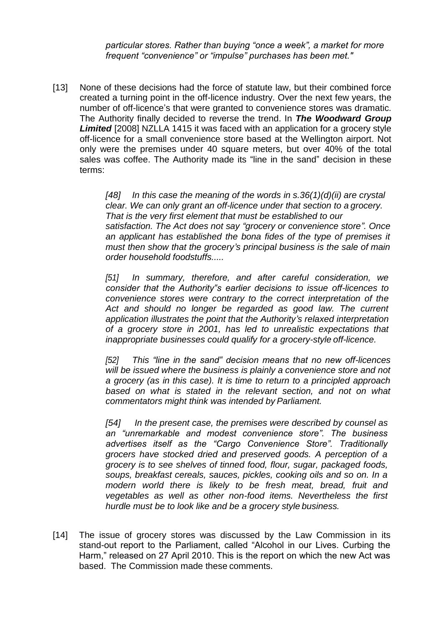*particular stores. Rather than buying "once a week", a market for more frequent "convenience" or "impulse" purchases has been met."*

[13] None of these decisions had the force of statute law, but their combined force created a turning point in the off-licence industry. Over the next few years, the number of off-licence's that were granted to convenience stores was dramatic. The Authority finally decided to reverse the trend. In *The Woodward Group*  **Limited** [2008] NZLLA 1415 it was faced with an application for a grocery style off-licence for a small convenience store based at the Wellington airport. Not only were the premises under 40 square meters, but over 40% of the total sales was coffee. The Authority made its "line in the sand" decision in these terms:

> *[48] In this case the meaning of the words in s.36(1)(d)(ii) are crystal clear. We can only grant an off-licence under that section to a grocery. That is the very first element that must be established to our satisfaction. The Act does not say "grocery or convenience store". Once an applicant has established the bona fides of the type of premises it must then show that the grocery's principal business is the sale of main order household foodstuffs.....*

> *[51] In summary, therefore, and after careful consideration, we consider that the Authority"s earlier decisions to issue off-licences to convenience stores were contrary to the correct interpretation of the Act and should no longer be regarded as good law. The current application illustrates the point that the Authority's relaxed interpretation of a grocery store in 2001, has led to unrealistic expectations that inappropriate businesses could qualify for a grocery-style off-licence.*

> *[52] This "line in the sand" decision means that no new off-licences will be issued where the business is plainly a convenience store and not a grocery (as in this case). It is time to return to a principled approach based on what is stated in the relevant section, and not on what commentators might think was intended by Parliament.*

> *[54] In the present case, the premises were described by counsel as an "unremarkable and modest convenience store". The business advertises itself as the "Cargo Convenience Store". Traditionally grocers have stocked dried and preserved goods. A perception of a grocery is to see shelves of tinned food, flour, sugar, packaged foods, soups, breakfast cereals, sauces, pickles, cooking oils and so on. In a modern world there is likely to be fresh meat, bread, fruit and vegetables as well as other non-food items. Nevertheless the first hurdle must be to look like and be a grocery style business.*

[14] The issue of grocery stores was discussed by the Law Commission in its stand-out report to the Parliament, called "Alcohol in our Lives. Curbing the Harm," released on 27 April 2010. This is the report on which the new Act was based. The Commission made these comments.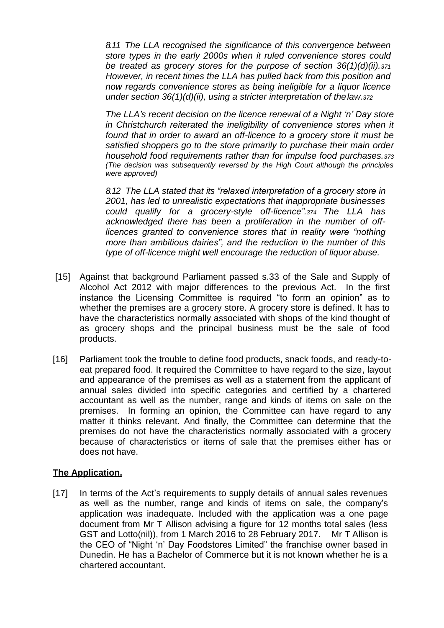*8.11 The LLA recognised the significance of this convergence between store types in the early 2000s when it ruled convenience stores could be treated as grocery stores for the purpose of section 36(1)(d)(ii).<sup>371</sup> However, in recent times the LLA has pulled back from this position and now regards convenience stores as being ineligible for a liquor licence under section 36(1)(d)(ii), using a stricter interpretation of thelaw.<sup>372</sup>*

*The LLA's recent decision on the licence renewal of a Night 'n' Day store in Christchurch reiterated the ineligibility of convenience stores when it found that in order to award an off-licence to a grocery store it must be satisfied shoppers go to the store primarily to purchase their main order household food requirements rather than for impulse food purchases.<sup>373</sup> (The decision was subsequently reversed by the High Court although the principles were approved)*

*8.12 The LLA stated that its "relaxed interpretation of a grocery store in 2001, has led to unrealistic expectations that inappropriate businesses could qualify for a grocery-style off-licence".374 The LLA has acknowledged there has been a proliferation in the number of offlicences granted to convenience stores that in reality were "nothing more than ambitious dairies", and the reduction in the number of this type of off-licence might well encourage the reduction of liquor abuse.*

- [15] Against that background Parliament passed s.33 of the Sale and Supply of Alcohol Act 2012 with major differences to the previous Act. In the first instance the Licensing Committee is required "to form an opinion" as to whether the premises are a grocery store. A grocery store is defined. It has to have the characteristics normally associated with shops of the kind thought of as grocery shops and the principal business must be the sale of food products.
- [16] Parliament took the trouble to define food products, snack foods, and ready-toeat prepared food. It required the Committee to have regard to the size, layout and appearance of the premises as well as a statement from the applicant of annual sales divided into specific categories and certified by a chartered accountant as well as the number, range and kinds of items on sale on the premises. In forming an opinion, the Committee can have regard to any matter it thinks relevant. And finally, the Committee can determine that the premises do not have the characteristics normally associated with a grocery because of characteristics or items of sale that the premises either has or does not have.

### **The Application.**

[17] In terms of the Act's requirements to supply details of annual sales revenues as well as the number, range and kinds of items on sale, the company's application was inadequate. Included with the application was a one page document from Mr T Allison advising a figure for 12 months total sales (less GST and Lotto(nil)), from 1 March 2016 to 28 February 2017. Mr T Allison is the CEO of "Night 'n' Day Foodstores Limited" the franchise owner based in Dunedin. He has a Bachelor of Commerce but it is not known whether he is a chartered accountant.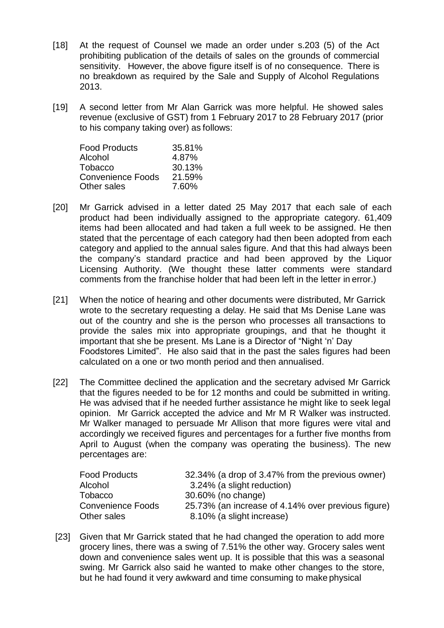- [18] At the request of Counsel we made an order under s.203 (5) of the Act prohibiting publication of the details of sales on the grounds of commercial sensitivity. However, the above figure itself is of no consequence. There is no breakdown as required by the Sale and Supply of Alcohol Regulations 2013.
- [19] A second letter from Mr Alan Garrick was more helpful. He showed sales revenue (exclusive of GST) from 1 February 2017 to 28 February 2017 (prior to his company taking over) as follows:

| <b>Food Products</b>     | 35.81% |
|--------------------------|--------|
| Alcohol                  | 4.87%  |
| Tobacco                  | 30.13% |
| <b>Convenience Foods</b> | 21.59% |
| Other sales              | 7.60%  |

- [20] Mr Garrick advised in a letter dated 25 May 2017 that each sale of each product had been individually assigned to the appropriate category. 61,409 items had been allocated and had taken a full week to be assigned. He then stated that the percentage of each category had then been adopted from each category and applied to the annual sales figure. And that this had always been the company's standard practice and had been approved by the Liquor Licensing Authority. (We thought these latter comments were standard comments from the franchise holder that had been left in the letter in error.)
- [21] When the notice of hearing and other documents were distributed, Mr Garrick wrote to the secretary requesting a delay. He said that Ms Denise Lane was out of the country and she is the person who processes all transactions to provide the sales mix into appropriate groupings, and that he thought it important that she be present. Ms Lane is a Director of "Night 'n' Day Foodstores Limited". He also said that in the past the sales figures had been calculated on a one or two month period and then annualised.
- [22] The Committee declined the application and the secretary advised Mr Garrick that the figures needed to be for 12 months and could be submitted in writing. He was advised that if he needed further assistance he might like to seek legal opinion. Mr Garrick accepted the advice and Mr M R Walker was instructed. Mr Walker managed to persuade Mr Allison that more figures were vital and accordingly we received figures and percentages for a further five months from April to August (when the company was operating the business). The new percentages are:

| <b>Food Products</b>     | 32.34% (a drop of 3.47% from the previous owner)   |
|--------------------------|----------------------------------------------------|
| Alcohol                  | 3.24% (a slight reduction)                         |
| Tobacco                  | 30.60% (no change)                                 |
| <b>Convenience Foods</b> | 25.73% (an increase of 4.14% over previous figure) |
| Other sales              | 8.10% (a slight increase)                          |

[23] Given that Mr Garrick stated that he had changed the operation to add more grocery lines, there was a swing of 7.51% the other way. Grocery sales went down and convenience sales went up. It is possible that this was a seasonal swing. Mr Garrick also said he wanted to make other changes to the store, but he had found it very awkward and time consuming to make physical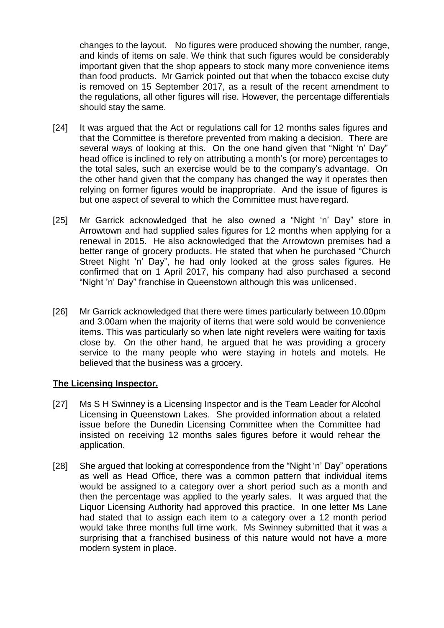changes to the layout. No figures were produced showing the number, range, and kinds of items on sale. We think that such figures would be considerably important given that the shop appears to stock many more convenience items than food products. Mr Garrick pointed out that when the tobacco excise duty is removed on 15 September 2017, as a result of the recent amendment to the regulations, all other figures will rise. However, the percentage differentials should stay the same.

- [24] It was argued that the Act or regulations call for 12 months sales figures and that the Committee is therefore prevented from making a decision. There are several ways of looking at this. On the one hand given that "Night 'n' Day" head office is inclined to rely on attributing a month's (or more) percentages to the total sales, such an exercise would be to the company's advantage. On the other hand given that the company has changed the way it operates then relying on former figures would be inappropriate. And the issue of figures is but one aspect of several to which the Committee must have regard.
- [25] Mr Garrick acknowledged that he also owned a "Night 'n' Day" store in Arrowtown and had supplied sales figures for 12 months when applying for a renewal in 2015. He also acknowledged that the Arrowtown premises had a better range of grocery products. He stated that when he purchased "Church Street Night 'n' Day", he had only looked at the gross sales figures. He confirmed that on 1 April 2017, his company had also purchased a second "Night 'n' Day" franchise in Queenstown although this was unlicensed.
- [26] Mr Garrick acknowledged that there were times particularly between 10.00pm and 3.00am when the majority of items that were sold would be convenience items. This was particularly so when late night revelers were waiting for taxis close by. On the other hand, he argued that he was providing a grocery service to the many people who were staying in hotels and motels. He believed that the business was a grocery.

### **The Licensing Inspector.**

- [27] Ms S H Swinney is a Licensing Inspector and is the Team Leader for Alcohol Licensing in Queenstown Lakes. She provided information about a related issue before the Dunedin Licensing Committee when the Committee had insisted on receiving 12 months sales figures before it would rehear the application.
- [28] She argued that looking at correspondence from the "Night 'n' Day" operations as well as Head Office, there was a common pattern that individual items would be assigned to a category over a short period such as a month and then the percentage was applied to the yearly sales. It was argued that the Liquor Licensing Authority had approved this practice. In one letter Ms Lane had stated that to assign each item to a category over a 12 month period would take three months full time work. Ms Swinney submitted that it was a surprising that a franchised business of this nature would not have a more modern system in place.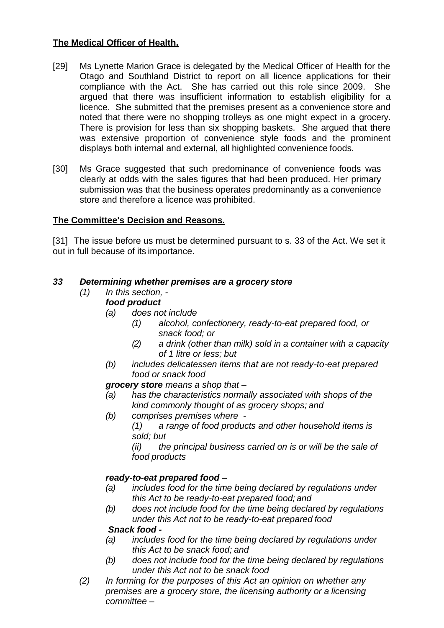# **The Medical Officer of Health.**

- [29] Ms Lynette Marion Grace is delegated by the Medical Officer of Health for the Otago and Southland District to report on all licence applications for their compliance with the Act. She has carried out this role since 2009. She argued that there was insufficient information to establish eligibility for a licence. She submitted that the premises present as a convenience store and noted that there were no shopping trolleys as one might expect in a grocery. There is provision for less than six shopping baskets. She argued that there was extensive proportion of convenience style foods and the prominent displays both internal and external, all highlighted convenience foods.
- [30] Ms Grace suggested that such predominance of convenience foods was clearly at odds with the sales figures that had been produced. Her primary submission was that the business operates predominantly as a convenience store and therefore a licence was prohibited.

# **The Committee's Decision and Reasons.**

[31] The issue before us must be determined pursuant to s. 33 of the Act. We set it out in full because of its importance.

## *33 Determining whether premises are a grocery store*

- *(1) In this section, food product*
	- *(a) does not include*
		- *(1) alcohol, confectionery, ready-to-eat prepared food, or snack food; or*
		- *(2) a drink (other than milk) sold in a container with a capacity of 1 litre or less; but*
	- *(b) includes delicatessen items that are not ready-to-eat prepared food or snack food*

### *grocery store means a shop that –*

- *(a) has the characteristics normally associated with shops of the kind commonly thought of as grocery shops; and*
- *(b) comprises premises where -*
	- *(1) a range of food products and other household items is sold; but*

*(ii) the principal business carried on is or will be the sale of food products*

## *ready-to-eat prepared food –*

- *(a) includes food for the time being declared by regulations under this Act to be ready-to-eat prepared food; and*
- *(b) does not include food for the time being declared by regulations under this Act not to be ready-to-eat prepared food*

## *Snack food -*

- *(a) includes food for the time being declared by regulations under this Act to be snack food; and*
- *(b) does not include food for the time being declared by regulations under this Act not to be snack food*
- *(2) In forming for the purposes of this Act an opinion on whether any premises are a grocery store, the licensing authority or a licensing committee –*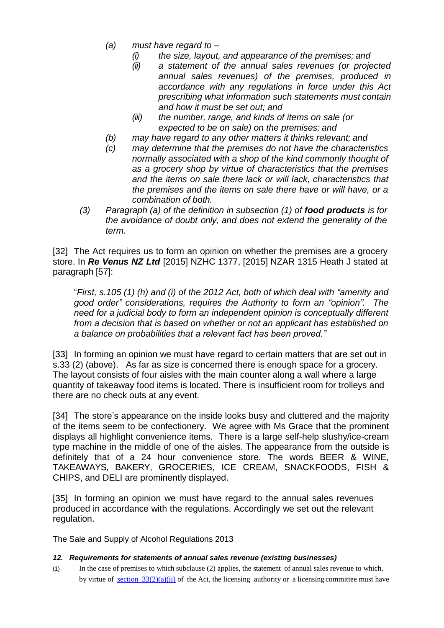- *(a) must have regard to –*
	-
	- *(i) the size, layout, and appearance of the premises; and (ii) a statement of the annual sales revenues (or projected annual sales revenues) of the premises, produced in accordance with any regulations in force under this Act prescribing what information such statements must contain and how it must be set out; and*
	- *(iii) the number, range, and kinds of items on sale (or expected to be on sale) on the premises; and*
- *(b) may have regard to any other matters it thinks relevant; and*
- *(c) may determine that the premises do not have the characteristics normally associated with a shop of the kind commonly thought of as a grocery shop by virtue of characteristics that the premises and the items on sale there lack or will lack, characteristics that the premises and the items on sale there have or will have, or a combination of both.*
- *(3) Paragraph (a) of the definition in subsection (1) of food products is for the avoidance of doubt only, and does not extend the generality of the term.*

[32] The Act requires us to form an opinion on whether the premises are a grocery store. In *Re Venus NZ Ltd* [2015] NZHC 1377, [2015] NZAR 1315 Heath J stated at paragraph [57]:

"*First, s.105 (1) (h) and (i) of the 2012 Act, both of which deal with "amenity and good order" considerations, requires the Authority to form an "opinion". The need for a judicial body to form an independent opinion is conceptually different from a decision that is based on whether or not an applicant has established on a balance on probabilities that a relevant fact has been proved."*

[33] In forming an opinion we must have regard to certain matters that are set out in s.33 (2) (above). As far as size is concerned there is enough space for a grocery. The layout consists of four aisles with the main counter along a wall where a large quantity of takeaway food items is located. There is insufficient room for trolleys and there are no check outs at any event.

[34] The store's appearance on the inside looks busy and cluttered and the majority of the items seem to be confectionery. We agree with Ms Grace that the prominent displays all highlight convenience items. There is a large self-help slushy/ice-cream type machine in the middle of one of the aisles. The appearance from the outside is definitely that of a 24 hour convenience store. The words BEER & WINE, TAKEAWAYS, BAKERY, GROCERIES, ICE CREAM, SNACKFOODS, FISH & CHIPS, and DELI are prominently displayed.

[35] In forming an opinion we must have regard to the annual sales revenues produced in accordance with the regulations. Accordingly we set out the relevant regulation.

The Sale and Supply of Alcohol Regulations 2013

#### *12. Requirements for statements of annual sales revenue (existing businesses)*

(1) In the case of premises to which subclause (2) applies, the statement of annual sales revenue to which, by virtue of section  $33(2)(a)(ii)$  of the Act, the licensing authority or a licensing committee must have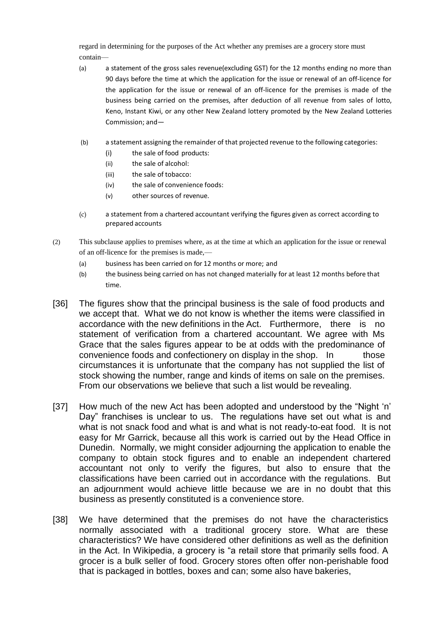regard in determining for the purposes of the Act whether any premises are a grocery store must contain—

- (a) a statement of the gross sales revenue(excluding GST) for the 12 months ending no more than 90 days before the time at which the application for the issue or renewal of an off-licence for the application for the issue or renewal of an off-licence for the premises is made of the business being carried on the premises, after deduction of all revenue from sales of lotto, Keno, Instant Kiwi, or any other New Zealand lottery promoted by the New Zealand Lotteries Commission; and—
- (b) a statement assigning the remainder of that projected revenue to the following categories:
	- (i) the sale of food products:
	- (ii) the sale of alcohol:
	- (iii) the sale of tobacco:
	- (iv) the sale of convenience foods:
	- (v) other sources of revenue.
- (c) a statement from a chartered accountant verifying the figures given as correct according to prepared accounts
- (2) This subclause applies to premises where, as at the time at which an application for the issue or renewal of an off-licence for the premises is made,—
	- (a) business has been carried on for 12 months or more; and
	- (b) the business being carried on has not changed materially for at least 12 months before that time.
- [36] The figures show that the principal business is the sale of food products and we accept that. What we do not know is whether the items were classified in accordance with the new definitions in the Act. Furthermore, there is no statement of verification from a chartered accountant. We agree with Ms Grace that the sales figures appear to be at odds with the predominance of convenience foods and confectionery on display in the shop. In those circumstances it is unfortunate that the company has not supplied the list of stock showing the number, range and kinds of items on sale on the premises. From our observations we believe that such a list would be revealing.
- [37] How much of the new Act has been adopted and understood by the "Night 'n' Day" franchises is unclear to us. The regulations have set out what is and what is not snack food and what is and what is not ready-to-eat food. It is not easy for Mr Garrick, because all this work is carried out by the Head Office in Dunedin. Normally, we might consider adjourning the application to enable the company to obtain stock figures and to enable an independent chartered accountant not only to verify the figures, but also to ensure that the classifications have been carried out in accordance with the regulations. But an adjournment would achieve little because we are in no doubt that this business as presently constituted is a convenience store.
- [38] We have determined that the premises do not have the characteristics normally associated with a traditional grocery store. What are these characteristics? We have considered other definitions as well as the definition in the Act. In Wikipedia, a grocery is "a retail store that primarily sells food. A grocer is a bulk seller of food. Grocery stores often offer non-perishable food that is packaged in bottles, boxes and can; some also have bakeries,